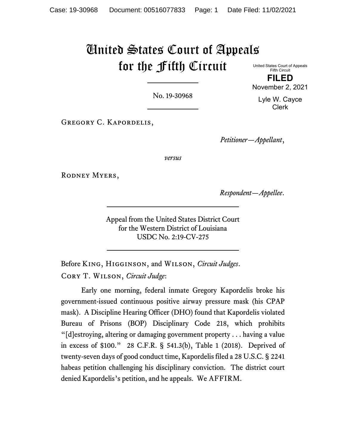# United States Court of Appeals for the Fifth Circuit

United States Court of Appeals Fifth Circuit **FILED**

No. 19-30968

Gregory C. Kapordelis,

*Petitioner—Appellant*,

*versus*

RODNEY MYERS,

*Respondent—Appellee*.

Appeal from the United States District Court for the Western District of Louisiana USDC No. 2:19-CV-275

Before King, Higginson, and Wilson, *Circuit Judges*. Cory T. Wilson, *Circuit Judge*:

Early one morning, federal inmate Gregory Kapordelis broke his government-issued continuous positive airway pressure mask (his CPAP mask). A Discipline Hearing Officer (DHO) found that Kapordelis violated Bureau of Prisons (BOP) Disciplinary Code 218, which prohibits "[d]estroying, altering or damaging government property . . . having a value in excess of \$100." 28 C.F.R. § 541.3(b), Table 1 (2018). Deprived of twenty-seven days of good conduct time, Kapordelis filed a 28 U.S.C. § 2241 habeas petition challenging his disciplinary conviction. The district court denied Kapordelis's petition, and he appeals. We AFFIRM.

November 2, 2021 Lyle W. Cayce Clerk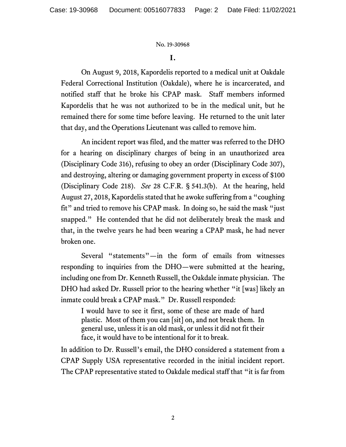# **I.**

On August 9, 2018, Kapordelis reported to a medical unit at Oakdale Federal Correctional Institution (Oakdale), where he is incarcerated, and notified staff that he broke his CPAP mask. Staff members informed Kapordelis that he was not authorized to be in the medical unit, but he remained there for some time before leaving. He returned to the unit later that day, and the Operations Lieutenant was called to remove him.

An incident report was filed, and the matter was referred to the DHO for a hearing on disciplinary charges of being in an unauthorized area (Disciplinary Code 316), refusing to obey an order (Disciplinary Code 307), and destroying, altering or damaging government property in excess of \$100 (Disciplinary Code 218). *See* 28 C.F.R. § 541.3(b). At the hearing, held August 27, 2018, Kapordelis stated that he awoke suffering from a "coughing fit" and tried to remove his CPAP mask. In doing so, he said the mask "just snapped." He contended that he did not deliberately break the mask and that, in the twelve years he had been wearing a CPAP mask, he had never broken one.

Several "statements"—in the form of emails from witnesses responding to inquiries from the DHO—were submitted at the hearing, including one from Dr. Kenneth Russell, the Oakdale inmate physician. The DHO had asked Dr. Russell prior to the hearing whether "it [was] likely an inmate could break a CPAP mask." Dr. Russell responded:

I would have to see it first, some of these are made of hard plastic. Most of them you can [sit] on, and not break them. In general use, unless it is an old mask, or unless it did not fit their face, it would have to be intentional for it to break.

In addition to Dr. Russell's email, the DHO considered a statement from a CPAP Supply USA representative recorded in the initial incident report. The CPAP representative stated to Oakdale medical staff that "it is far from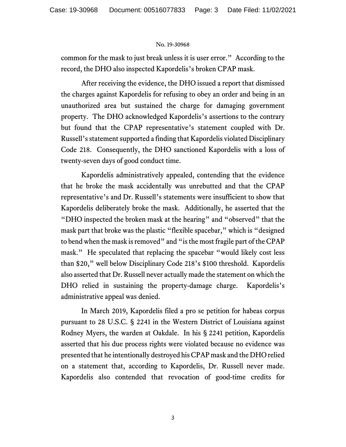common for the mask to just break unless it is user error." According to the record, the DHO also inspected Kapordelis's broken CPAP mask.

After receiving the evidence, the DHO issued a report that dismissed the charges against Kapordelis for refusing to obey an order and being in an unauthorized area but sustained the charge for damaging government property. The DHO acknowledged Kapordelis's assertions to the contrary but found that the CPAP representative's statement coupled with Dr. Russell's statement supported a finding that Kapordelis violated Disciplinary Code 218. Consequently, the DHO sanctioned Kapordelis with a loss of twenty-seven days of good conduct time.

Kapordelis administratively appealed, contending that the evidence that he broke the mask accidentally was unrebutted and that the CPAP representative's and Dr. Russell's statements were insufficient to show that Kapordelis deliberately broke the mask. Additionally, he asserted that the "DHO inspected the broken mask at the hearing" and "observed" that the mask part that broke was the plastic "flexible spacebar," which is "designed to bend when the mask is removed" and "is the most fragile part of the CPAP mask." He speculated that replacing the spacebar "would likely cost less than \$20," well below Disciplinary Code 218's \$100 threshold. Kapordelis also asserted that Dr. Russell never actually made the statement on which the DHO relied in sustaining the property-damage charge. Kapordelis's administrative appeal was denied.

In March 2019, Kapordelis filed a pro se petition for habeas corpus pursuant to 28 U.S.C. § 2241 in the Western District of Louisiana against Rodney Myers, the warden at Oakdale. In his § 2241 petition, Kapordelis asserted that his due process rights were violated because no evidence was presented that he intentionally destroyed his CPAP mask and the DHO relied on a statement that, according to Kapordelis, Dr. Russell never made. Kapordelis also contended that revocation of good-time credits for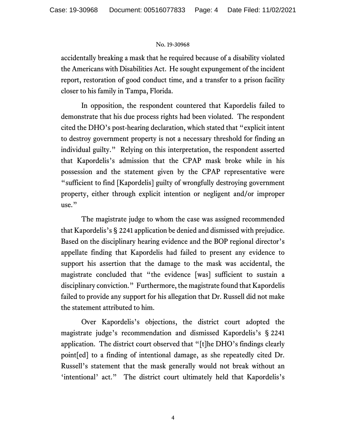accidentally breaking a mask that he required because of a disability violated the Americans with Disabilities Act. He sought expungement of the incident report, restoration of good conduct time, and a transfer to a prison facility closer to his family in Tampa, Florida.

In opposition, the respondent countered that Kapordelis failed to demonstrate that his due process rights had been violated. The respondent cited the DHO's post-hearing declaration, which stated that "explicit intent to destroy government property is not a necessary threshold for finding an individual guilty." Relying on this interpretation, the respondent asserted that Kapordelis's admission that the CPAP mask broke while in his possession and the statement given by the CPAP representative were "sufficient to find [Kapordelis] guilty of wrongfully destroying government property, either through explicit intention or negligent and/or improper use."

The magistrate judge to whom the case was assigned recommended that Kapordelis's § 2241 application be denied and dismissed with prejudice. Based on the disciplinary hearing evidence and the BOP regional director's appellate finding that Kapordelis had failed to present any evidence to support his assertion that the damage to the mask was accidental, the magistrate concluded that "the evidence [was] sufficient to sustain a disciplinary conviction." Furthermore, the magistrate found that Kapordelis failed to provide any support for his allegation that Dr. Russell did not make the statement attributed to him.

Over Kapordelis's objections, the district court adopted the magistrate judge's recommendation and dismissed Kapordelis's § 2241 application. The district court observed that "[t]he DHO's findings clearly point[ed] to a finding of intentional damage, as she repeatedly cited Dr. Russell's statement that the mask generally would not break without an 'intentional' act." The district court ultimately held that Kapordelis's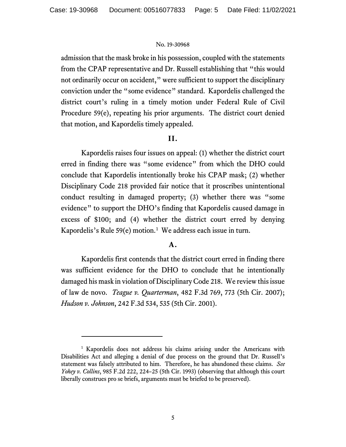admission that the mask broke in his possession, coupled with the statements from the CPAP representative and Dr. Russell establishing that "this would not ordinarily occur on accident," were sufficient to support the disciplinary conviction under the "some evidence" standard. Kapordelis challenged the district court's ruling in a timely motion under Federal Rule of Civil Procedure 59(e), repeating his prior arguments. The district court denied that motion, and Kapordelis timely appealed.

# **II.**

Kapordelis raises four issues on appeal: (1) whether the district court erred in finding there was "some evidence" from which the DHO could conclude that Kapordelis intentionally broke his CPAP mask; (2) whether Disciplinary Code 218 provided fair notice that it proscribes unintentional conduct resulting in damaged property; (3) whether there was "some evidence" to support the DHO's finding that Kapordelis caused damage in excess of \$100; and (4) whether the district court erred by denying Kapordelis's Rule  $59(e)$  motion.<sup>[1](#page-4-0)</sup> We address each issue in turn.

# **A.**

Kapordelis first contends that the district court erred in finding there was sufficient evidence for the DHO to conclude that he intentionally damaged his mask in violation of Disciplinary Code 218. We review this issue of law de novo. *Teague v. Quarterman*, 482 F.3d 769, 773 (5th Cir. 2007); *Hudson v. Johnson*, 242 F.3d 534, 535 (5th Cir. 2001).

<span id="page-4-0"></span><sup>&</sup>lt;sup>1</sup> Kapordelis does not address his claims arising under the Americans with Disabilities Act and alleging a denial of due process on the ground that Dr. Russell's statement was falsely attributed to him. Therefore, he has abandoned these claims. *See Yohey v. Collins*, 985 F.2d 222, 224–25 (5th Cir. 1993) (observing that although this court liberally construes pro se briefs, arguments must be briefed to be preserved).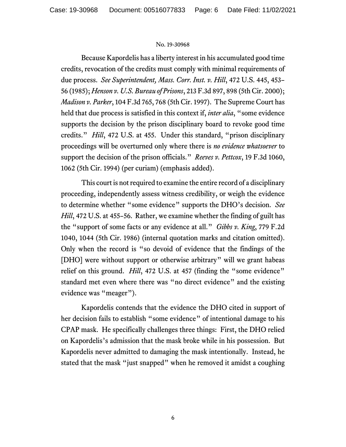Because Kapordelis has a liberty interest in his accumulated good time credits, revocation of the credits must comply with minimal requirements of due process. *See Superintendent, Mass. Corr. Inst. v. Hill*, 472 U.S. 445, 453– 56 (1985); *Henson v. U.S. Bureau of Prisons*, 213 F.3d 897, 898 (5th Cir. 2000); *Madison v. Parker*, 104 F.3d 765, 768 (5th Cir. 1997). The Supreme Court has held that due process is satisfied in this context if, *inter alia*, "some evidence supports the decision by the prison disciplinary board to revoke good time credits." *Hill*, 472 U.S. at 455. Under this standard, "prison disciplinary proceedings will be overturned only where there is *no evidence whatsoever* to support the decision of the prison officials." *Reeves v. Pettcox*, 19 F.3d 1060, 1062 (5th Cir. 1994) (per curiam) (emphasis added).

This court is not required to examine the entire record of a disciplinary proceeding, independently assess witness credibility, or weigh the evidence to determine whether "some evidence" supports the DHO's decision. *See Hill*, 472 U.S. at 455–56. Rather, we examine whether the finding of guilt has the "support of some facts or any evidence at all." *Gibbs v. King*, 779 F.2d 1040, 1044 (5th Cir. 1986) (internal quotation marks and citation omitted). Only when the record is "so devoid of evidence that the findings of the [DHO] were without support or otherwise arbitrary" will we grant habeas relief on this ground. *Hill*, 472 U.S. at 457 (finding the "some evidence" standard met even where there was "no direct evidence" and the existing evidence was "meager").

Kapordelis contends that the evidence the DHO cited in support of her decision fails to establish "some evidence" of intentional damage to his CPAP mask. He specifically challenges three things: First, the DHO relied on Kapordelis's admission that the mask broke while in his possession. But Kapordelis never admitted to damaging the mask intentionally. Instead, he stated that the mask "just snapped" when he removed it amidst a coughing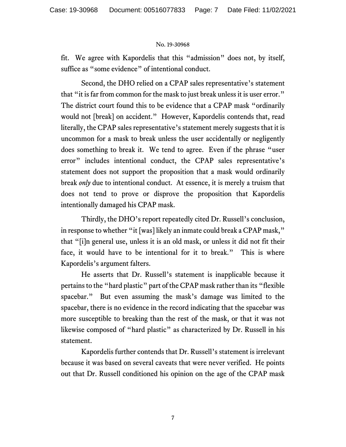fit. We agree with Kapordelis that this "admission" does not, by itself, suffice as "some evidence" of intentional conduct.

Second, the DHO relied on a CPAP sales representative's statement that "it is far from common for the mask to just break unless it is user error." The district court found this to be evidence that a CPAP mask "ordinarily would not [break] on accident." However, Kapordelis contends that, read literally, the CPAP sales representative's statement merely suggests that it is uncommon for a mask to break unless the user accidentally or negligently does something to break it. We tend to agree. Even if the phrase "user error" includes intentional conduct, the CPAP sales representative's statement does not support the proposition that a mask would ordinarily break *only* due to intentional conduct. At essence, it is merely a truism that does not tend to prove or disprove the proposition that Kapordelis intentionally damaged his CPAP mask.

Thirdly, the DHO's report repeatedly cited Dr. Russell's conclusion, in response to whether "it [was] likely an inmate could break a CPAP mask," that "[i]n general use, unless it is an old mask, or unless it did not fit their face, it would have to be intentional for it to break." This is where Kapordelis's argument falters.

He asserts that Dr. Russell's statement is inapplicable because it pertains to the "hard plastic" part of the CPAP mask rather than its "flexible spacebar." But even assuming the mask's damage was limited to the spacebar, there is no evidence in the record indicating that the spacebar was more susceptible to breaking than the rest of the mask, or that it was not likewise composed of "hard plastic" as characterized by Dr. Russell in his statement.

Kapordelis further contends that Dr. Russell's statement is irrelevant because it was based on several caveats that were never verified. He points out that Dr. Russell conditioned his opinion on the age of the CPAP mask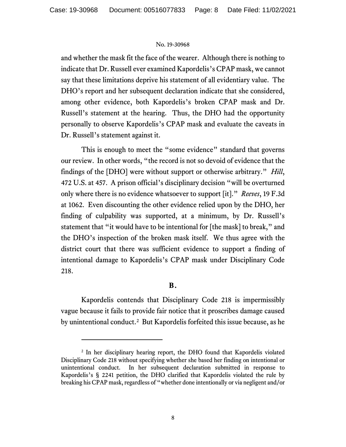and whether the mask fit the face of the wearer. Although there is nothing to indicate that Dr. Russell ever examined Kapordelis's CPAP mask, we cannot say that these limitations deprive his statement of all evidentiary value. The DHO's report and her subsequent declaration indicate that she considered, among other evidence, both Kapordelis's broken CPAP mask and Dr. Russell's statement at the hearing. Thus, the DHO had the opportunity personally to observe Kapordelis's CPAP mask and evaluate the caveats in Dr. Russell's statement against it.

This is enough to meet the "some evidence" standard that governs our review. In other words, "the record is not so devoid of evidence that the findings of the [DHO] were without support or otherwise arbitrary." *Hill*, 472 U.S. at 457. A prison official's disciplinary decision "will be overturned only where there is no evidence whatsoever to support [it]." *Reeves*, 19 F.3d at 1062. Even discounting the other evidence relied upon by the DHO, her finding of culpability was supported, at a minimum, by Dr. Russell's statement that "it would have to be intentional for [the mask] to break," and the DHO's inspection of the broken mask itself. We thus agree with the district court that there was sufficient evidence to support a finding of intentional damage to Kapordelis's CPAP mask under Disciplinary Code 218.

# **B.**

Kapordelis contends that Disciplinary Code 218 is impermissibly vague because it fails to provide fair notice that it proscribes damage caused by unintentional conduct. [2](#page-7-0) But Kapordelis forfeited this issue because, as he

<span id="page-7-0"></span><sup>2</sup> In her disciplinary hearing report, the DHO found that Kapordelis violated Disciplinary Code 218 without specifying whether she based her finding on intentional or unintentional conduct. In her subsequent declaration submitted in response to Kapordelis's § 2241 petition, the DHO clarified that Kapordelis violated the rule by breaking his CPAP mask, regardless of "whether done intentionally or via negligent and/or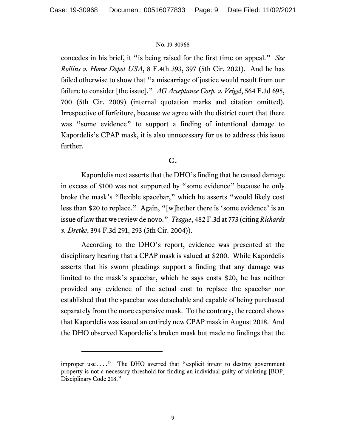concedes in his brief, it "is being raised for the first time on appeal." *See Rollins v. Home Depot USA*, 8 F.4th 393, 397 (5th Cir. 2021). And he has failed otherwise to show that "a miscarriage of justice would result from our failure to consider [the issue]." *AG Acceptance Corp. v. Veigel*, 564 F.3d 695, 700 (5th Cir. 2009) (internal quotation marks and citation omitted). Irrespective of forfeiture, because we agree with the district court that there was "some evidence" to support a finding of intentional damage to Kapordelis's CPAP mask, it is also unnecessary for us to address this issue further.

# **C.**

Kapordelis next asserts that the DHO's finding that he caused damage in excess of \$100 was not supported by "some evidence" because he only broke the mask's "flexible spacebar," which he asserts "would likely cost less than \$20 to replace." Again, "[w]hether there is 'some evidence' is an issue of law that we review de novo." *Teague*, 482 F.3d at 773 (citing *Richards v. Dretke*, 394 F.3d 291, 293 (5th Cir. 2004)).

According to the DHO's report, evidence was presented at the disciplinary hearing that a CPAP mask is valued at \$200. While Kapordelis asserts that his sworn pleadings support a finding that any damage was limited to the mask's spacebar, which he says costs \$20, he has neither provided any evidence of the actual cost to replace the spacebar nor established that the spacebar was detachable and capable of being purchased separately from the more expensive mask. To the contrary, the record shows that Kapordelis was issued an entirely new CPAP mask in August 2018. And the DHO observed Kapordelis's broken mask but made no findings that the

improper use . . . ." The DHO averred that "explicit intent to destroy government property is not a necessary threshold for finding an individual guilty of violating [BOP] Disciplinary Code 218."